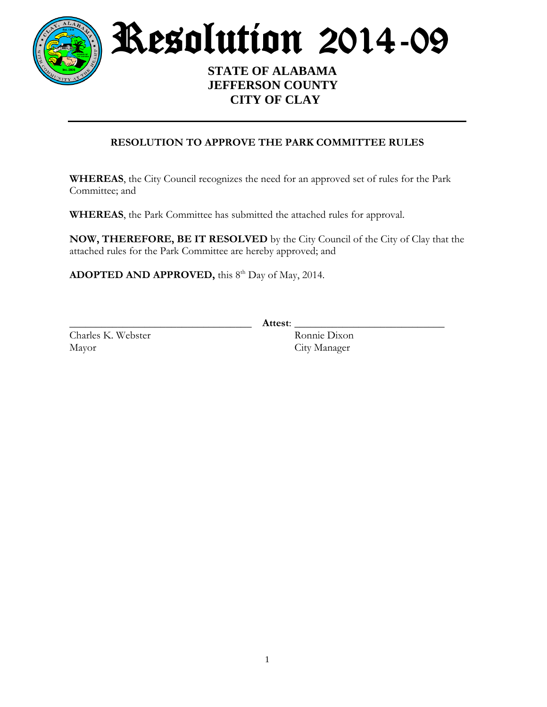

Resolution 2014-09

 **STATE OF ALABAMA JEFFERSON COUNTY CITY OF CLAY**

# **RESOLUTION TO APPROVE THE PARK COMMITTEE RULES**

**WHEREAS**, the City Council recognizes the need for an approved set of rules for the Park Committee; and

**WHEREAS**, the Park Committee has submitted the attached rules for approval.

**NOW, THEREFORE, BE IT RESOLVED** by the City Council of the City of Clay that the attached rules for the Park Committee are hereby approved; and

**ADOPTED AND APPROVED,** this 8<sup>th</sup> Day of May, 2014.

Charles K. Webster Ronnie Dixon Mayor City Manager

\_\_\_\_\_\_\_\_\_\_\_\_\_\_\_\_\_\_\_\_\_\_\_\_\_\_\_\_\_\_\_\_\_\_ **Attest**: \_\_\_\_\_\_\_\_\_\_\_\_\_\_\_\_\_\_\_\_\_\_\_\_\_\_\_\_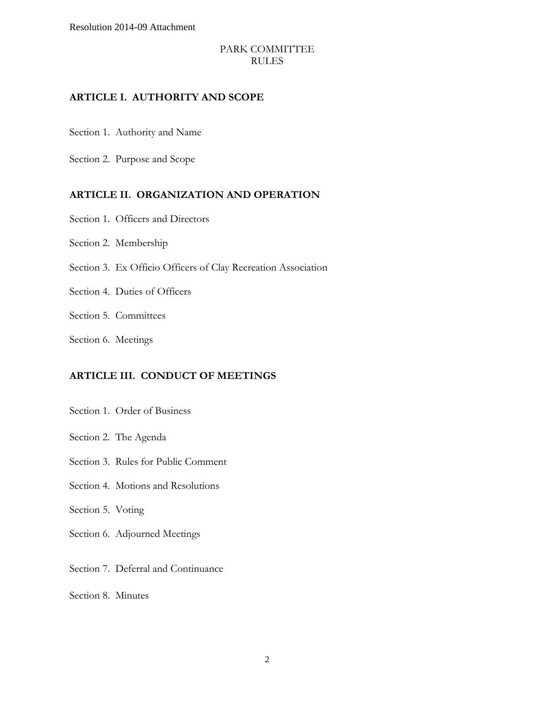Resolution 2014-09 Attachment

#### PARK COMMITTEE RULES

#### **ARTICLE I. AUTHORITY AND SCOPE**

Section 1. Authority and Name

Section 2. Purpose and Scope

#### **ARTICLE II. ORGANIZATION AND OPERATION**

- Section 1. Officers and Directors
- Section 2. Membership
- Section 3. Ex Officio Officers of Clay Recreation Association
- Section 4. Duties of Officers
- Section 5. Committees
- Section 6. Meetings

#### **ARTICLE III. CONDUCT OF MEETINGS**

- Section 1. Order of Business
- Section 2. The Agenda
- Section 3. Rules for Public Comment
- Section 4. Motions and Resolutions
- Section 5. Voting
- Section 6. Adjourned Meetings
- Section 7. Deferral and Continuance
- Section 8. Minutes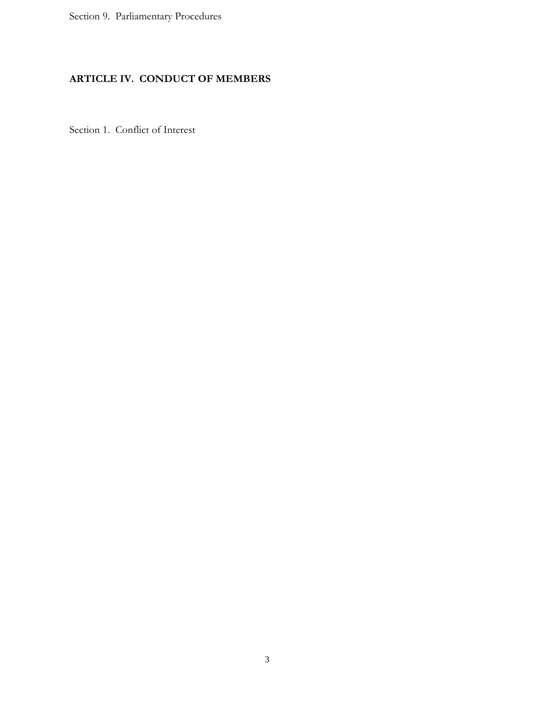Section 9. Parliamentary Procedures

# **ARTICLE IV. CONDUCT OF MEMBERS**

Section 1. Conflict of Interest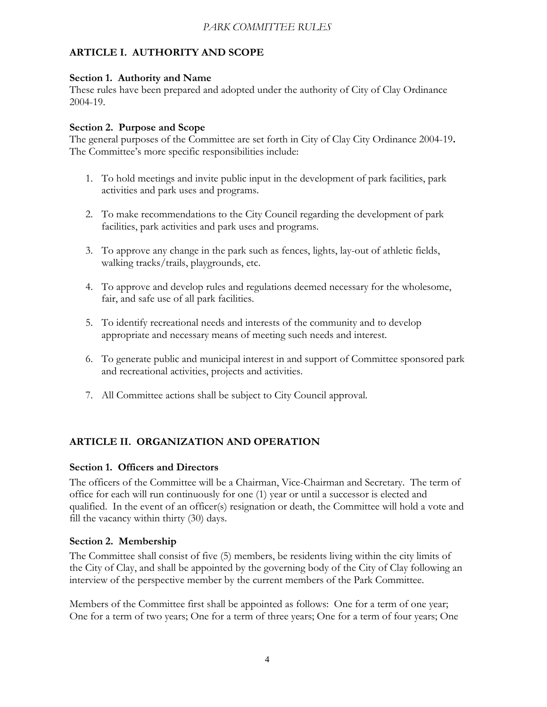# **ARTICLE I. AUTHORITY AND SCOPE**

## **Section 1. Authority and Name**

These rules have been prepared and adopted under the authority of City of Clay Ordinance 2004-19.

# **Section 2. Purpose and Scope**

The general purposes of the Committee are set forth in City of Clay City Ordinance 2004-19**.**  The Committee's more specific responsibilities include:

- 1. To hold meetings and invite public input in the development of park facilities, park activities and park uses and programs.
- 2. To make recommendations to the City Council regarding the development of park facilities, park activities and park uses and programs.
- 3. To approve any change in the park such as fences, lights, lay-out of athletic fields, walking tracks/trails, playgrounds, etc.
- 4. To approve and develop rules and regulations deemed necessary for the wholesome, fair, and safe use of all park facilities.
- 5. To identify recreational needs and interests of the community and to develop appropriate and necessary means of meeting such needs and interest.
- 6. To generate public and municipal interest in and support of Committee sponsored park and recreational activities, projects and activities.
- 7. All Committee actions shall be subject to City Council approval.

# **ARTICLE II. ORGANIZATION AND OPERATION**

# **Section 1. Officers and Directors**

The officers of the Committee will be a Chairman, Vice-Chairman and Secretary. The term of office for each will run continuously for one (1) year or until a successor is elected and qualified. In the event of an officer(s) resignation or death, the Committee will hold a vote and fill the vacancy within thirty (30) days.

# **Section 2. Membership**

The Committee shall consist of five (5) members, be residents living within the city limits of the City of Clay, and shall be appointed by the governing body of the City of Clay following an interview of the perspective member by the current members of the Park Committee.

Members of the Committee first shall be appointed as follows: One for a term of one year; One for a term of two years; One for a term of three years; One for a term of four years; One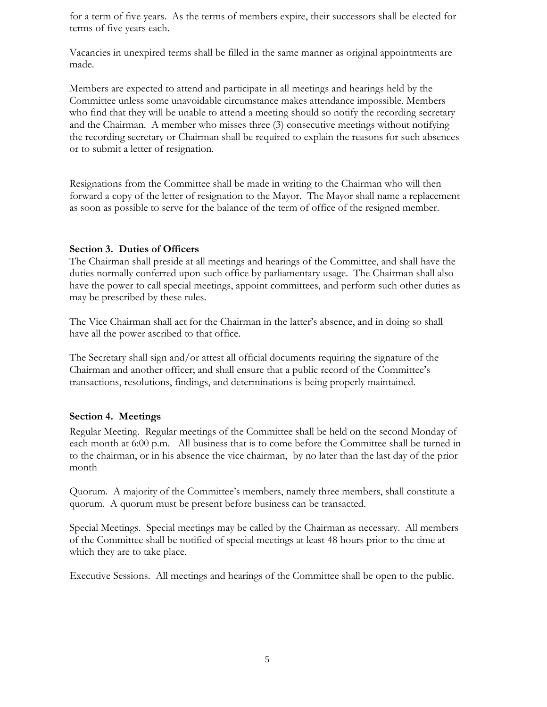for a term of five years. As the terms of members expire, their successors shall be elected for terms of five years each.

Vacancies in unexpired terms shall be filled in the same manner as original appointments are made.

Members are expected to attend and participate in all meetings and hearings held by the Committee unless some unavoidable circumstance makes attendance impossible. Members who find that they will be unable to attend a meeting should so notify the recording secretary and the Chairman. A member who misses three (3) consecutive meetings without notifying the recording secretary or Chairman shall be required to explain the reasons for such absences or to submit a letter of resignation.

Resignations from the Committee shall be made in writing to the Chairman who will then forward a copy of the letter of resignation to the Mayor. The Mayor shall name a replacement as soon as possible to serve for the balance of the term of office of the resigned member.

#### **Section 3. Duties of Officers**

The Chairman shall preside at all meetings and hearings of the Committee, and shall have the duties normally conferred upon such office by parliamentary usage. The Chairman shall also have the power to call special meetings, appoint committees, and perform such other duties as may be prescribed by these rules.

The Vice Chairman shall act for the Chairman in the latter's absence, and in doing so shall have all the power ascribed to that office.

The Secretary shall sign and/or attest all official documents requiring the signature of the Chairman and another officer; and shall ensure that a public record of the Committee's transactions, resolutions, findings, and determinations is being properly maintained.

#### **Section 4. Meetings**

Regular Meeting. Regular meetings of the Committee shall be held on the second Monday of each month at 6:00 p.m. All business that is to come before the Committee shall be turned in to the chairman, or in his absence the vice chairman, by no later than the last day of the prior month

Quorum. A majority of the Committee's members, namely three members, shall constitute a quorum. A quorum must be present before business can be transacted.

Special Meetings. Special meetings may be called by the Chairman as necessary. All members of the Committee shall be notified of special meetings at least 48 hours prior to the time at which they are to take place.

Executive Sessions. All meetings and hearings of the Committee shall be open to the public.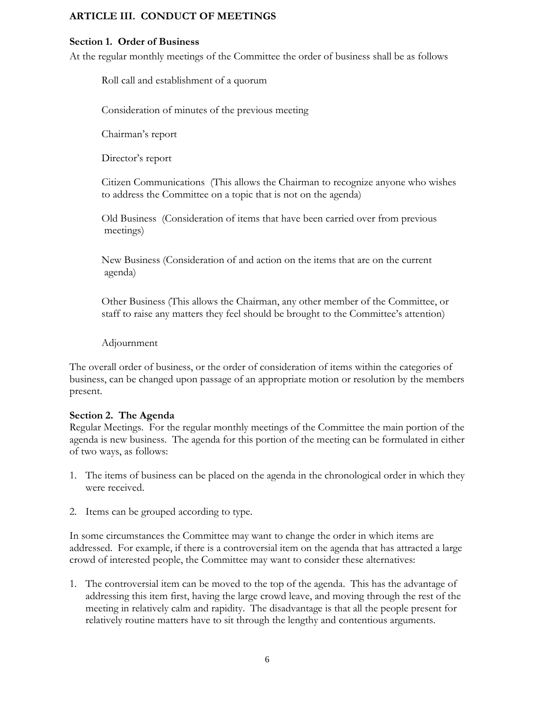## **ARTICLE III. CONDUCT OF MEETINGS**

#### **Section 1. Order of Business**

At the regular monthly meetings of the Committee the order of business shall be as follows

Roll call and establishment of a quorum

Consideration of minutes of the previous meeting

Chairman's report

Director's report

Citizen Communications (This allows the Chairman to recognize anyone who wishes to address the Committee on a topic that is not on the agenda)

Old Business (Consideration of items that have been carried over from previous meetings)

New Business (Consideration of and action on the items that are on the current agenda)

Other Business (This allows the Chairman, any other member of the Committee, or staff to raise any matters they feel should be brought to the Committee's attention)

#### Adjournment

The overall order of business, or the order of consideration of items within the categories of business, can be changed upon passage of an appropriate motion or resolution by the members present.

#### **Section 2. The Agenda**

Regular Meetings. For the regular monthly meetings of the Committee the main portion of the agenda is new business. The agenda for this portion of the meeting can be formulated in either of two ways, as follows:

- 1. The items of business can be placed on the agenda in the chronological order in which they were received.
- 2. Items can be grouped according to type.

In some circumstances the Committee may want to change the order in which items are addressed. For example, if there is a controversial item on the agenda that has attracted a large crowd of interested people, the Committee may want to consider these alternatives:

1. The controversial item can be moved to the top of the agenda. This has the advantage of addressing this item first, having the large crowd leave, and moving through the rest of the meeting in relatively calm and rapidity. The disadvantage is that all the people present for relatively routine matters have to sit through the lengthy and contentious arguments.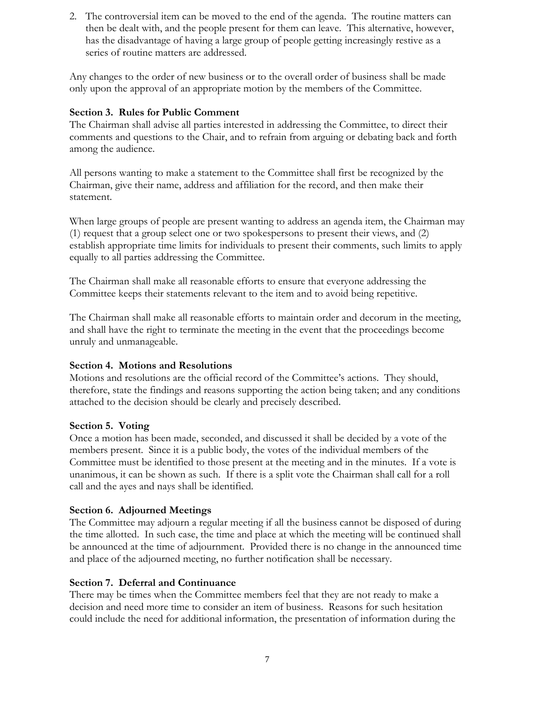2. The controversial item can be moved to the end of the agenda. The routine matters can then be dealt with, and the people present for them can leave. This alternative, however, has the disadvantage of having a large group of people getting increasingly restive as a series of routine matters are addressed.

Any changes to the order of new business or to the overall order of business shall be made only upon the approval of an appropriate motion by the members of the Committee.

## **Section 3. Rules for Public Comment**

The Chairman shall advise all parties interested in addressing the Committee, to direct their comments and questions to the Chair, and to refrain from arguing or debating back and forth among the audience.

All persons wanting to make a statement to the Committee shall first be recognized by the Chairman, give their name, address and affiliation for the record, and then make their statement.

When large groups of people are present wanting to address an agenda item, the Chairman may (1) request that a group select one or two spokespersons to present their views, and (2) establish appropriate time limits for individuals to present their comments, such limits to apply equally to all parties addressing the Committee.

The Chairman shall make all reasonable efforts to ensure that everyone addressing the Committee keeps their statements relevant to the item and to avoid being repetitive.

The Chairman shall make all reasonable efforts to maintain order and decorum in the meeting, and shall have the right to terminate the meeting in the event that the proceedings become unruly and unmanageable.

## **Section 4. Motions and Resolutions**

Motions and resolutions are the official record of the Committee's actions. They should, therefore, state the findings and reasons supporting the action being taken; and any conditions attached to the decision should be clearly and precisely described.

## **Section 5. Voting**

Once a motion has been made, seconded, and discussed it shall be decided by a vote of the members present. Since it is a public body, the votes of the individual members of the Committee must be identified to those present at the meeting and in the minutes. If a vote is unanimous, it can be shown as such. If there is a split vote the Chairman shall call for a roll call and the ayes and nays shall be identified.

## **Section 6. Adjourned Meetings**

The Committee may adjourn a regular meeting if all the business cannot be disposed of during the time allotted. In such case, the time and place at which the meeting will be continued shall be announced at the time of adjournment. Provided there is no change in the announced time and place of the adjourned meeting, no further notification shall be necessary.

# **Section 7. Deferral and Continuance**

There may be times when the Committee members feel that they are not ready to make a decision and need more time to consider an item of business. Reasons for such hesitation could include the need for additional information, the presentation of information during the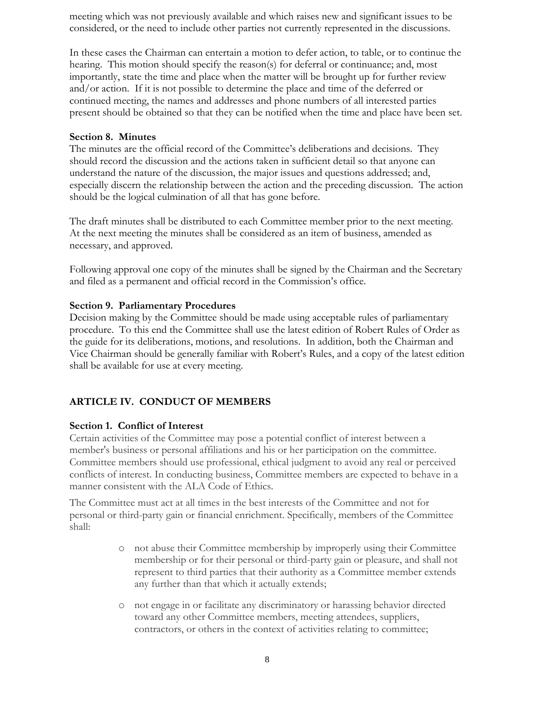meeting which was not previously available and which raises new and significant issues to be considered, or the need to include other parties not currently represented in the discussions.

In these cases the Chairman can entertain a motion to defer action, to table, or to continue the hearing. This motion should specify the reason(s) for deferral or continuance; and, most importantly, state the time and place when the matter will be brought up for further review and/or action. If it is not possible to determine the place and time of the deferred or continued meeting, the names and addresses and phone numbers of all interested parties present should be obtained so that they can be notified when the time and place have been set.

#### **Section 8. Minutes**

The minutes are the official record of the Committee's deliberations and decisions. They should record the discussion and the actions taken in sufficient detail so that anyone can understand the nature of the discussion, the major issues and questions addressed; and, especially discern the relationship between the action and the preceding discussion. The action should be the logical culmination of all that has gone before.

The draft minutes shall be distributed to each Committee member prior to the next meeting. At the next meeting the minutes shall be considered as an item of business, amended as necessary, and approved.

Following approval one copy of the minutes shall be signed by the Chairman and the Secretary and filed as a permanent and official record in the Commission's office.

## **Section 9. Parliamentary Procedures**

Decision making by the Committee should be made using acceptable rules of parliamentary procedure. To this end the Committee shall use the latest edition of Robert Rules of Order as the guide for its deliberations, motions, and resolutions. In addition, both the Chairman and Vice Chairman should be generally familiar with Robert's Rules, and a copy of the latest edition shall be available for use at every meeting.

# **ARTICLE IV. CONDUCT OF MEMBERS**

## **Section 1. Conflict of Interest**

Certain activities of the Committee may pose a potential conflict of interest between a member's business or personal affiliations and his or her participation on the committee. Committee members should use professional, ethical judgment to avoid any real or perceived conflicts of interest. In conducting business, Committee members are expected to behave in a manner consistent with the ALA Code of Ethics.

The Committee must act at all times in the best interests of the Committee and not for personal or third-party gain or financial enrichment. Specifically, members of the Committee shall:

- o not abuse their Committee membership by improperly using their Committee membership or for their personal or third-party gain or pleasure, and shall not represent to third parties that their authority as a Committee member extends any further than that which it actually extends;
- o not engage in or facilitate any discriminatory or harassing behavior directed toward any other Committee members, meeting attendees, suppliers, contractors, or others in the context of activities relating to committee;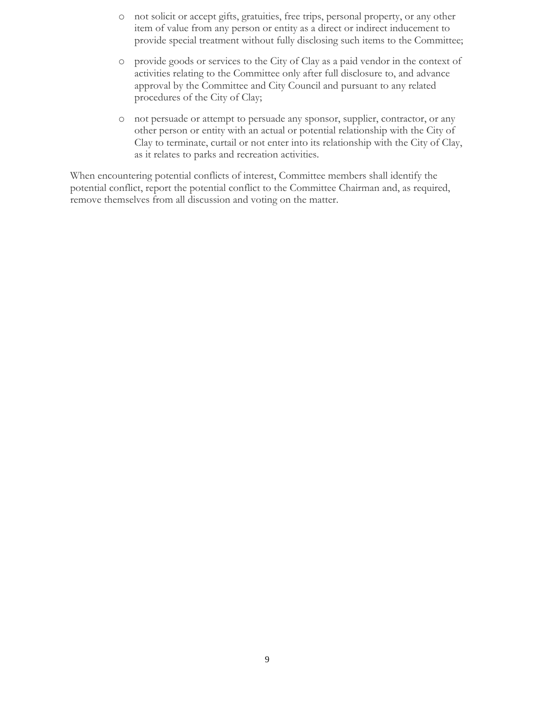- o not solicit or accept gifts, gratuities, free trips, personal property, or any other item of value from any person or entity as a direct or indirect inducement to provide special treatment without fully disclosing such items to the Committee;
- o provide goods or services to the City of Clay as a paid vendor in the context of activities relating to the Committee only after full disclosure to, and advance approval by the Committee and City Council and pursuant to any related procedures of the City of Clay;
- o not persuade or attempt to persuade any sponsor, supplier, contractor, or any other person or entity with an actual or potential relationship with the City of Clay to terminate, curtail or not enter into its relationship with the City of Clay, as it relates to parks and recreation activities.

When encountering potential conflicts of interest, Committee members shall identify the potential conflict, report the potential conflict to the Committee Chairman and, as required, remove themselves from all discussion and voting on the matter.